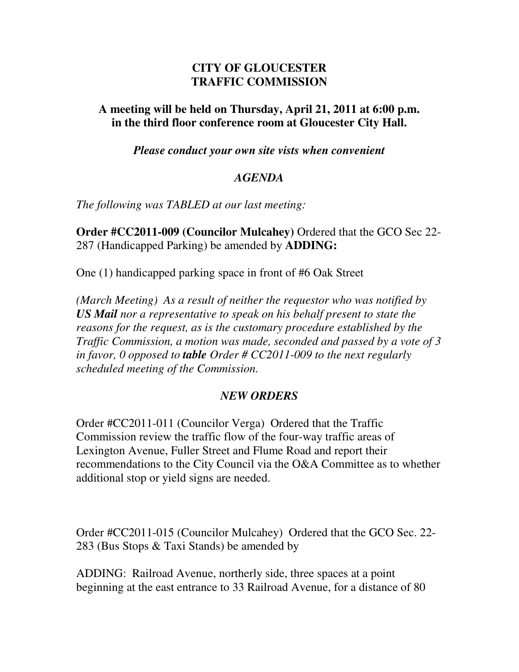## **CITY OF GLOUCESTER TRAFFIC COMMISSION**

## **A meeting will be held on Thursday, April 21, 2011 at 6:00 p.m. in the third floor conference room at Gloucester City Hall.**

*Please conduct your own site vists when convenient* 

## *AGENDA*

*The following was TABLED at our last meeting:* 

**Order #CC2011-009 (Councilor Mulcahey)** Ordered that the GCO Sec 22- 287 (Handicapped Parking) be amended by **ADDING:** 

One (1) handicapped parking space in front of #6 Oak Street

*(March Meeting) As a result of neither the requestor who was notified by US Mail nor a representative to speak on his behalf present to state the reasons for the request, as is the customary procedure established by the Traffic Commission, a motion was made, seconded and passed by a vote of 3 in favor, 0 opposed to table Order # CC2011-009 to the next regularly scheduled meeting of the Commission.* 

## *NEW ORDERS*

Order #CC2011-011 (Councilor Verga) Ordered that the Traffic Commission review the traffic flow of the four-way traffic areas of Lexington Avenue, Fuller Street and Flume Road and report their recommendations to the City Council via the O&A Committee as to whether additional stop or yield signs are needed.

Order #CC2011-015 (Councilor Mulcahey) Ordered that the GCO Sec. 22- 283 (Bus Stops & Taxi Stands) be amended by

ADDING: Railroad Avenue, northerly side, three spaces at a point beginning at the east entrance to 33 Railroad Avenue, for a distance of 80